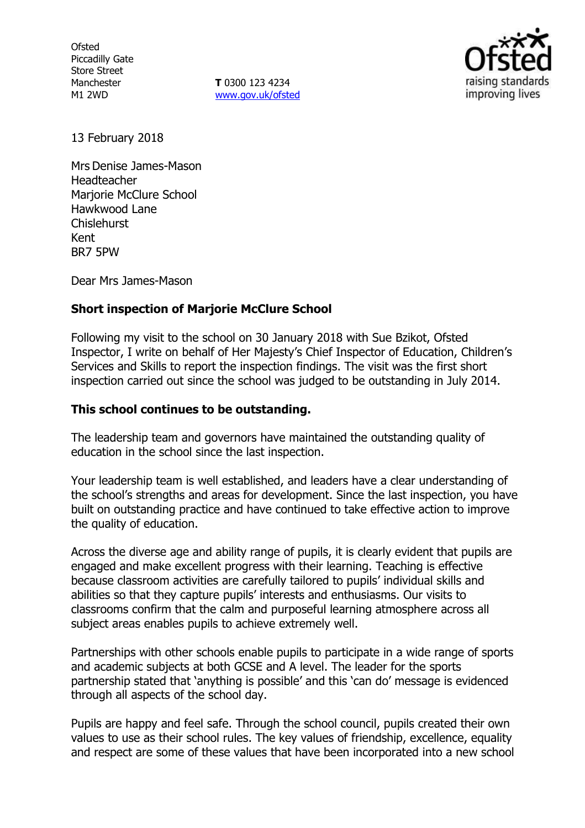**Ofsted** Piccadilly Gate Store Street Manchester M1 2WD

**T** 0300 123 4234 www.gov.uk/ofsted



13 February 2018

Mrs Denise James-Mason Headteacher Marjorie McClure School Hawkwood Lane Chislehurst Kent BR7 5PW

Dear Mrs James-Mason

## **Short inspection of Marjorie McClure School**

Following my visit to the school on 30 January 2018 with Sue Bzikot, Ofsted Inspector, I write on behalf of Her Majesty's Chief Inspector of Education, Children's Services and Skills to report the inspection findings. The visit was the first short inspection carried out since the school was judged to be outstanding in July 2014.

## **This school continues to be outstanding.**

The leadership team and governors have maintained the outstanding quality of education in the school since the last inspection.

Your leadership team is well established, and leaders have a clear understanding of the school's strengths and areas for development. Since the last inspection, you have built on outstanding practice and have continued to take effective action to improve the quality of education.

Across the diverse age and ability range of pupils, it is clearly evident that pupils are engaged and make excellent progress with their learning. Teaching is effective because classroom activities are carefully tailored to pupils' individual skills and abilities so that they capture pupils' interests and enthusiasms. Our visits to classrooms confirm that the calm and purposeful learning atmosphere across all subject areas enables pupils to achieve extremely well.

Partnerships with other schools enable pupils to participate in a wide range of sports and academic subjects at both GCSE and A level. The leader for the sports partnership stated that 'anything is possible' and this 'can do' message is evidenced through all aspects of the school day.

Pupils are happy and feel safe. Through the school council, pupils created their own values to use as their school rules. The key values of friendship, excellence, equality and respect are some of these values that have been incorporated into a new school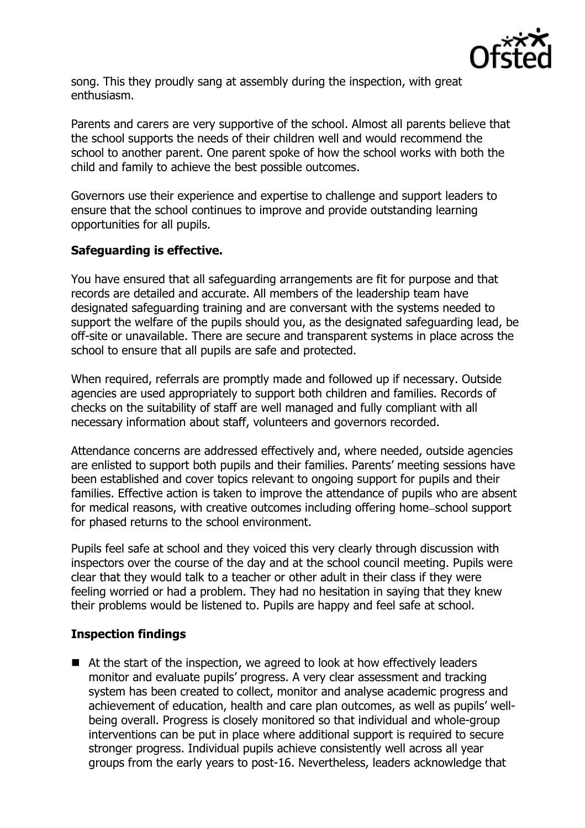

song. This they proudly sang at assembly during the inspection, with great enthusiasm.

Parents and carers are very supportive of the school. Almost all parents believe that the school supports the needs of their children well and would recommend the school to another parent. One parent spoke of how the school works with both the child and family to achieve the best possible outcomes.

Governors use their experience and expertise to challenge and support leaders to ensure that the school continues to improve and provide outstanding learning opportunities for all pupils.

# **Safeguarding is effective.**

You have ensured that all safeguarding arrangements are fit for purpose and that records are detailed and accurate. All members of the leadership team have designated safeguarding training and are conversant with the systems needed to support the welfare of the pupils should you, as the designated safeguarding lead, be off-site or unavailable. There are secure and transparent systems in place across the school to ensure that all pupils are safe and protected.

When required, referrals are promptly made and followed up if necessary. Outside agencies are used appropriately to support both children and families. Records of checks on the suitability of staff are well managed and fully compliant with all necessary information about staff, volunteers and governors recorded.

Attendance concerns are addressed effectively and, where needed, outside agencies are enlisted to support both pupils and their families. Parents' meeting sessions have been established and cover topics relevant to ongoing support for pupils and their families. Effective action is taken to improve the attendance of pupils who are absent for medical reasons, with creative outcomes including offering home-school support for phased returns to the school environment.

Pupils feel safe at school and they voiced this very clearly through discussion with inspectors over the course of the day and at the school council meeting. Pupils were clear that they would talk to a teacher or other adult in their class if they were feeling worried or had a problem. They had no hesitation in saying that they knew their problems would be listened to. Pupils are happy and feel safe at school.

# **Inspection findings**

■ At the start of the inspection, we agreed to look at how effectively leaders monitor and evaluate pupils' progress. A very clear assessment and tracking system has been created to collect, monitor and analyse academic progress and achievement of education, health and care plan outcomes, as well as pupils' wellbeing overall. Progress is closely monitored so that individual and whole-group interventions can be put in place where additional support is required to secure stronger progress. Individual pupils achieve consistently well across all year groups from the early years to post-16. Nevertheless, leaders acknowledge that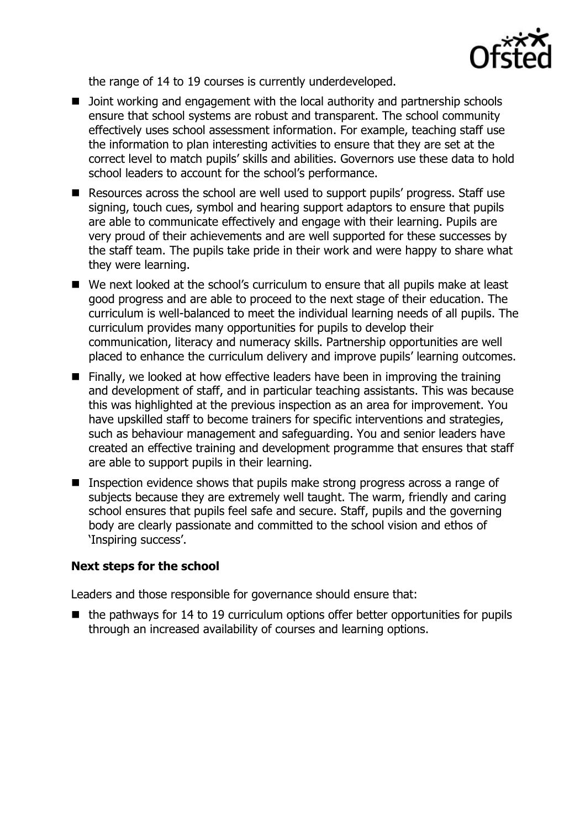

the range of 14 to 19 courses is currently underdeveloped.

- D Joint working and engagement with the local authority and partnership schools ensure that school systems are robust and transparent. The school community effectively uses school assessment information. For example, teaching staff use the information to plan interesting activities to ensure that they are set at the correct level to match pupils' skills and abilities. Governors use these data to hold school leaders to account for the school's performance.
- Resources across the school are well used to support pupils' progress. Staff use signing, touch cues, symbol and hearing support adaptors to ensure that pupils are able to communicate effectively and engage with their learning. Pupils are very proud of their achievements and are well supported for these successes by the staff team. The pupils take pride in their work and were happy to share what they were learning.
- We next looked at the school's curriculum to ensure that all pupils make at least good progress and are able to proceed to the next stage of their education. The curriculum is well-balanced to meet the individual learning needs of all pupils. The curriculum provides many opportunities for pupils to develop their communication, literacy and numeracy skills. Partnership opportunities are well placed to enhance the curriculum delivery and improve pupils' learning outcomes.
- $\blacksquare$  Finally, we looked at how effective leaders have been in improving the training and development of staff, and in particular teaching assistants. This was because this was highlighted at the previous inspection as an area for improvement. You have upskilled staff to become trainers for specific interventions and strategies, such as behaviour management and safeguarding. You and senior leaders have created an effective training and development programme that ensures that staff are able to support pupils in their learning.
- **Inspection evidence shows that pupils make strong progress across a range of** subjects because they are extremely well taught. The warm, friendly and caring school ensures that pupils feel safe and secure. Staff, pupils and the governing body are clearly passionate and committed to the school vision and ethos of 'Inspiring success'.

## **Next steps for the school**

Leaders and those responsible for governance should ensure that:

 $\blacksquare$  the pathways for 14 to 19 curriculum options offer better opportunities for pupils through an increased availability of courses and learning options.